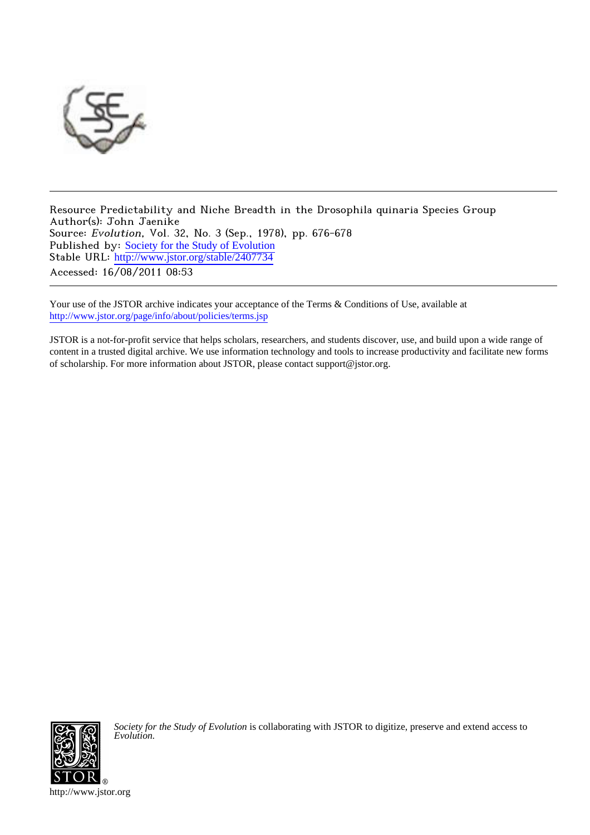

Resource Predictability and Niche Breadth in the Drosophila quinaria Species Group Author(s): John Jaenike Source: Evolution, Vol. 32, No. 3 (Sep., 1978), pp. 676-678 Published by: [Society for the Study of Evolution](http://www.jstor.org/action/showPublisher?publisherCode=ssevol) Stable URL: [http://www.jstor.org/stable/2407734](http://www.jstor.org/stable/2407734?origin=JSTOR-pdf) Accessed: 16/08/2011 08:53

Your use of the JSTOR archive indicates your acceptance of the Terms & Conditions of Use, available at <http://www.jstor.org/page/info/about/policies/terms.jsp>

JSTOR is a not-for-profit service that helps scholars, researchers, and students discover, use, and build upon a wide range of content in a trusted digital archive. We use information technology and tools to increase productivity and facilitate new forms of scholarship. For more information about JSTOR, please contact support@jstor.org.



*Society for the Study of Evolution* is collaborating with JSTOR to digitize, preserve and extend access to *Evolution.*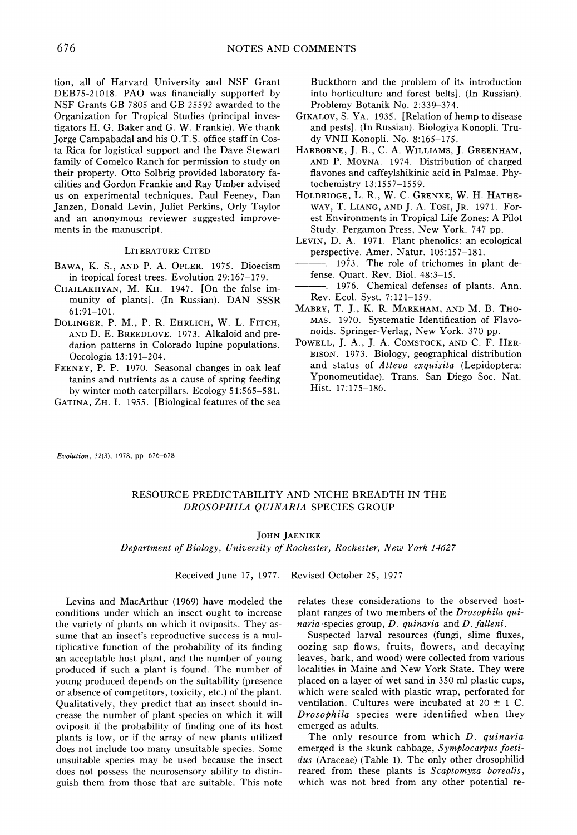**tion, all of Harvard University and NSF Grant DEB75-21018. PAO was financially supported by NSF Grants GB 7805 and GB 25592 awarded to the Organization for Tropical Studies (principal investigators H. G. Baker and G. W. Frankie). We thank Jorge Campabadal and his O.T.S. office staff in Costa Rica for logistical support and the Dave Stewart family of Comelco Ranch for permission to study on their property. Otto Solbrig provided laboratory facilities and Gordon Frankie and Ray Umber advised us on experimental techniques. Paul Feeney, Dan Janzen, Donald Levin, Juliet Perkins, Orly Taylor and an anonymous reviewer suggested improvements in the manuscript.** 

### **LITERATURE CITED**

- **BAWA, K. S., AND P. A. OPLER. 1975. Dioecism in tropical forest trees. Evolution 29: 167-179.**
- **CHAILAKHYAN, M. KH. 1947. [On the false immunity of plants]. (In Russian). DAN SSSR 6 1:91-101.**
- **DOLINGER, P. M., P. R. EHRLICH, W. L. FITCH, AND D. E. BREEDLOVE. 1973. Alkaloid and predation patterns in Colorado lupine populations. Oecologia 13:191-204.**
- **FEENEY, P. P. 1970. Seasonal changes in oak leaf tanins and nutrients as a cause of spring feeding by winter moth caterpillars. Ecology 51:565-581.**

**GATINA, ZH. I. 1955. [Biological features of the sea** 

**Buckthorn and the problem of its introductior into horticulture and forest belts]. (In Russian). Problemy Botanik No. 2:339-374.** 

- **GIKALOV, S. YA. 1935. [Relation of hemp to disease and pests]. (In Russian). Biologiya Konopli. Trudy VNII Konopli. No. 8:165-175.**
- **HARBORNE, J. B., C. A. WILLIAMS, J. GREENHAM, AND P. MOYNA. 1974. Distribution of charged flavones and caffeylshikinic acid in Palmae. Phytochemistry 13:1557-1559.**
- **HOLDRIDGE, L. R., W. C. GRENKE, W. H. HATHE-WAY, T. LIANG, AND J. A. Tosi, JR. 1971. For**est Environments in Tropical Life Zones: A Pilot **Study. Pergamon Press, New York. 747 pp.**
- **LEVIN, D. A. 1971. Plant phenolics: an ecologica] perspective. Amer. Natur. 105:157-181.**
- **1973. The role of trichomes in plant defense. Quart. Rev. Biol. 48:3-15.**
- **. 1976. Chemical defenses of plants. Ann. Rev. Ecol. Syst. 7:121-159.**
- **MABRY, T. J., K. R. MARKHAM, AND M. B. THO-MAS. 1970. Systematic Identification of Flavonoids. Springer-Verlag, New York. 370 pp.**
- **POWELL, J. A., J. A. COMSTOCK, AND C. F. HER-BISON. 1973. Biology, geographical distribution and status of Atteva exquisita (Lepidoptera: Yponomeutidae). Trans. San Diego Soc. Nat. Hist. 17:175-186.**

**Evolution, 32(3), 1978, pp 676-678** 

# **RESOURCE PREDICTABILITY AND NICHE BREADTH IN THE DROSOPHILA QUINARIA SPECIES GROUP**

## **JOHN JAENIKE**

**Department of Biology, University of Rochester, Rochester, New York 14627** 

**Received June 17, 1977. Revised October 25, 1977** 

**Levins and MacArthur (1969) have modeled the conditions under which an insect ought to increase the variety of plants on which it oviposits. They assume that an insect's reproductive success is a multiplicative function of the probability of its finding an acceptable host plant, and the number of young produced if such a plant is found. The number of young produced depends on the suitability (presence or absence of competitors, toxicity, etc.) of the plant. Qualitatively, they predict that an insect should increase the number of plant species on which it will oviposit if the probability of finding one of its host plants is low, or if the array of new plants utilized does not include too many unsuitable species. Some unsuitable species may be used because the insect does not possess the neurosensory ability to distinguish them from those that are suitable. This note** 

**relates these considerations to the observed hostplant ranges of two members of the Drosophila quinaria species group, D. quinaria and D. falleni.** 

**Suspected larval resources (fungi, slime fluxes, oozing sap flows, fruits, flowers, and decaying leaves, bark, and wood) were collected from various localities in Maine and New York State. They were placed on a layer of wet sand in 350 ml plastic cups, which were sealed with plastic wrap, perforated for**  ventilation. Cultures were incubated at  $20 \pm 1$  C. **Drosophila species were identified when they emerged as adults.** 

**The only resource from which D. quinaria emerged is the skunk cabbage, Symplocarpus foetidus (Araceae) (Table 1). The only other drosophilid reared from these plants is Scaptomyza borealis, which was not bred from any other potential re-**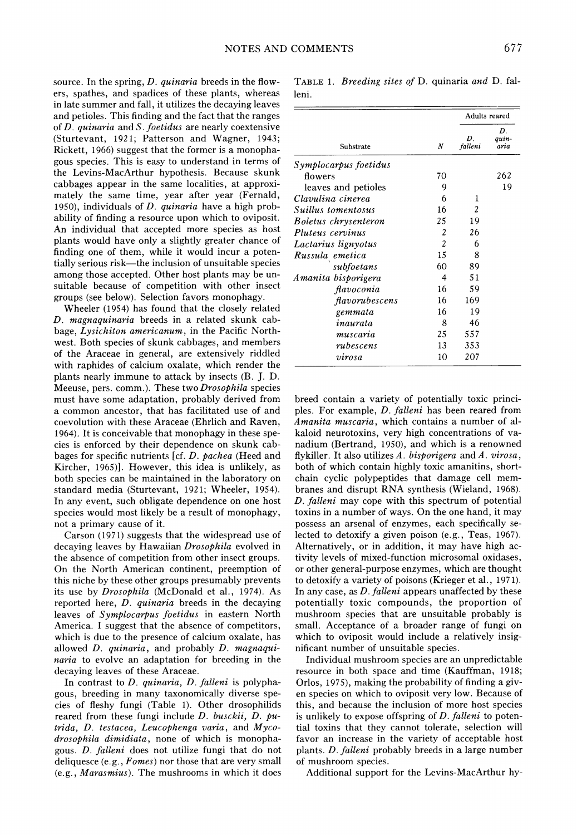**source. In the spring, D. quinaria breeds in the flowers, spathes, and spadices of these plants, whereas in late summer and fall, it utilizes the decaying leaves and petioles. This finding and the fact that the ranges of D. quinaria and S. foetidus are nearly coextensive (Sturtevant, 1921; Patterson and Wagner, 1943; Rickett, 1966) suggest that the former is a monophagous species. This is easy to understand in terms of the Levins-MacArthur hypothesis. Because skunk cabbages appear in the same localities, at approximately the same time, year after year (Fernald, 1950), individuals of D. quinaria have a high probability of finding a resource upon which to oviposit. An individual that accepted more species as host plants would have only a slightly greater chance of finding one of them, while it would incur a potentially serious risk-the inclusion of unsuitable species among those accepted. Other host plants may be unsuitable because of competition with other insect groups (see below). Selection favors monophagy.** 

**Wheeler (1954) has found that the closely related D. magnaquinaria breeds in a related skunk cabbage, Lysichiton americanum, in the Pacific Northwest. Both species of skunk cabbages, and members of the Araceae in general, are extensively riddled with raphides of calcium oxalate, which render the plants nearly immune to attack by insects (B. J. D. Meeuse, pers. comm.). These two Drosophila species must have some adaptation, probably derived from a common ancestor, that has facilitated use of and coevolution with these Araceae (Ehrlich and Raven, 1964). It is conceivable that monophagy in these species is enforced by their dependence on skunk cabbages for specific nutrients [cf. D. pachea (Heed and Kircher, 1965)]. However, this idea is unlikely, as both species can be maintained in the laboratory on standard media (Sturtevant, 1921; Wheeler, 1954). In any event, such obligate dependence on one host species would most likely be a result of monophagy, not a primary cause of it.** 

**Carson (1971) suggests that the widespread use of decaying leaves by Hawaiian Drosophila evolved in the absence of competition from other insect groups. On the North American continent, preemption of this niche by these other groups presumably prevents its use by Drosophila (McDonald et al., 1974). As reported here, D. quinaria breeds in the decaying leaves of Symplocarpus foetidus in eastern North America. I suggest that the absence of competitors, which is due to the presence of calcium oxalate, has allowed D. quinaria, and probably D. magnaquinaria to evolve an adaptation for breeding in the decaying leaves of these Araceae.** 

**In contrast to D. quinaria, D. falleni is polyphagous, breeding in many taxonomically diverse species of fleshy fungi (Table 1). Other drosophilids reared from these fungi include D. busckii, D. putrida, D. testacea, Leucophenga varia, and Mycodrosophila dimidiata, none of which is monophagous. D. falleni does not utilize fungi that do not deliquesce (e.g., Fomes) nor those that are very small (e.g., Marasmius). The mushrooms in which it does** 

**TABLE 1. Breeding sites of D. quinaria and D. falleni.** 

| Substrate             | N              | Adults reared |                     |
|-----------------------|----------------|---------------|---------------------|
|                       |                | D.<br>falleni | D.<br>auin-<br>aria |
| Symplocarpus foetidus |                |               |                     |
| flowers               | 70             |               | 262                 |
| leaves and petioles   | 9              |               | 19                  |
| Clavulina cinerea     | 6              | 1             |                     |
| Suillus tomentosus    | 16             | 2             |                     |
| Boletus chrysenteron  | 25             | 19            |                     |
| Pluteus cervinus      | 2              | 26            |                     |
| Lactarius lignyotus   | $\overline{c}$ | 6             |                     |
| Russula emetica       | 15             | 8             |                     |
| subfoetans            | 60             | 89            |                     |
| Amanita bisporigera   | 4              | 51            |                     |
| flavoconia            | 16             | 59            |                     |
| flavorubescens        | 16             | 169           |                     |
| gemmata               | 16             | 19            |                     |
| inaurata              | 8              | 46            |                     |
| muscaria              | 25             | 557           |                     |
| rubescens             | 13             | 353           |                     |
| virosa                | 10             | 207           |                     |

**breed contain a variety of potentially toxic principles. For example, D. falleni has been reared from Amanita muscaria, which contains a number of alkaloid neurotoxins, very high concentrations of vanadium (Bertrand, 1950), and which is a renowned flykiller. It also utilizes A. bisporigera and A. virosa, both of which contain highly toxic amanitins, shortchain cyclic polypeptides that damage cell membranes and disrupt RNA synthesis (Wieland, 1968). D. falleni may cope with this spectrum of potential toxins in a number of ways. On the one hand, it may possess an arsenal of enzymes, each specifically selected to detoxify a given poison (e.g., Teas, 1967). Alternatively, or in addition, it may have high activity levels of mixed-function microsomal oxidases, or other general-purpose enzymes, which are thought to detoxify a variety of poisons (Krieger et al., 197 1). In any case, as D. falleni appears unaffected by these potentially toxic compounds, the proportion of mushroom species that are unsuitable probably is small. Acceptance of a broader range of fungi on which to oviposit would include a relatively insignificant number of unsuitable species.** 

**Individual mushroom species are an unpredictable resource in both space and time (Kauffman, 1918; Orlos, 1975), making the probability of finding a given species on which to oviposit very low. Because of this, and because the inclusion of more host species is unlikely to expose offspring of D. falleni to potential toxins that they cannot tolerate, selection will favor an increase in the variety of acceptable host plants. D. falleni probably breeds in a large number of mushroom species.** 

**Additional support for the Levins-MacArthur hy-**